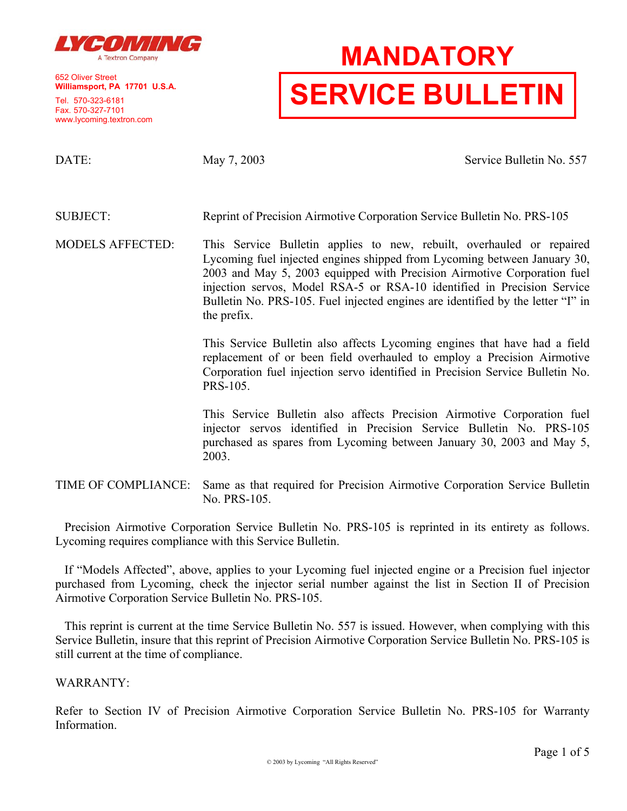

652 Oliver Street **Williamsport, PA 17701 U.S.A.**

Tel. 570-323-6181 Fax. 570-327-7101 www.lycoming.textron.com

# **MANDATORY SERVICE BULLETIN**

DATE: May 7, 2003 May 7, 2003 Service Bulletin No. 557

SUBJECT: Reprint of Precision Airmotive Corporation Service Bulletin No. PRS-105

MODELS AFFECTED: This Service Bulletin applies to new, rebuilt, overhauled or repaired Lycoming fuel injected engines shipped from Lycoming between January 30, 2003 and May 5, 2003 equipped with Precision Airmotive Corporation fuel injection servos, Model RSA-5 or RSA-10 identified in Precision Service Bulletin No. PRS-105. Fuel injected engines are identified by the letter "I" in the prefix.

> This Service Bulletin also affects Lycoming engines that have had a field replacement of or been field overhauled to employ a Precision Airmotive Corporation fuel injection servo identified in Precision Service Bulletin No. PRS-105.

> This Service Bulletin also affects Precision Airmotive Corporation fuel injector servos identified in Precision Service Bulletin No. PRS-105 purchased as spares from Lycoming between January 30, 2003 and May 5, 2003.

TIME OF COMPLIANCE: Same as that required for Precision Airmotive Corporation Service Bulletin No. PRS-105.

Precision Airmotive Corporation Service Bulletin No. PRS-105 is reprinted in its entirety as follows. Lycoming requires compliance with this Service Bulletin.

If "Models Affected", above, applies to your Lycoming fuel injected engine or a Precision fuel injector purchased from Lycoming, check the injector serial number against the list in Section II of Precision Airmotive Corporation Service Bulletin No. PRS-105.

This reprint is current at the time Service Bulletin No. 557 is issued. However, when complying with this Service Bulletin, insure that this reprint of Precision Airmotive Corporation Service Bulletin No. PRS-105 is still current at the time of compliance.

WARRANTY:

Refer to Section IV of Precision Airmotive Corporation Service Bulletin No. PRS-105 for Warranty Information.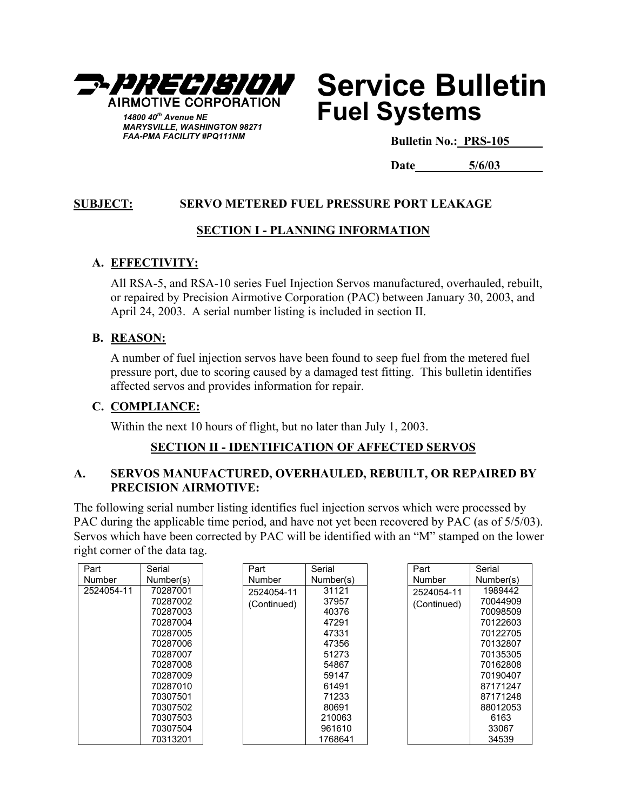

# **Service Bulletin Fuel Systems**

**Bulletin No.: PRS-105**

**Date 5/6/03**

# **SUBJECT: SERVO METERED FUEL PRESSURE PORT LEAKAGE**

### **SECTION I - PLANNING INFORMATION**

#### **A. EFFECTIVITY:**

All RSA-5, and RSA-10 series Fuel Injection Servos manufactured, overhauled, rebuilt, or repaired by Precision Airmotive Corporation (PAC) between January 30, 2003, and April 24, 2003. A serial number listing is included in section II.

#### **B. REASON:**

A number of fuel injection servos have been found to seep fuel from the metered fuel pressure port, due to scoring caused by a damaged test fitting. This bulletin identifies affected servos and provides information for repair.

#### **C. COMPLIANCE:**

Within the next 10 hours of flight, but no later than July 1, 2003.

# **SECTION II - IDENTIFICATION OF AFFECTED SERVOS**

#### **A. SERVOS MANUFACTURED, OVERHAULED, REBUILT, OR REPAIRED BY PRECISION AIRMOTIVE:**

The following serial number listing identifies fuel injection servos which were processed by PAC during the applicable time period, and have not yet been recovered by PAC (as of  $5/5/03$ ). Servos which have been corrected by PAC will be identified with an "M" stamped on the lower right corner of the data tag.

| Part       | Serial    | Part        | Serial    | Part        | Serial    |
|------------|-----------|-------------|-----------|-------------|-----------|
| Number     | Number(s) | Number      | Number(s) | Number      | Number(s) |
| 2524054-11 | 70287001  | 2524054-11  | 31121     | 2524054-11  | 1989442   |
|            | 70287002  | (Continued) | 37957     | (Continued) | 70044909  |
|            | 70287003  |             | 40376     |             | 70098509  |
|            | 70287004  |             | 47291     |             | 70122603  |
|            | 70287005  |             | 47331     |             | 70122705  |
|            | 70287006  |             | 47356     |             | 70132807  |
|            | 70287007  |             | 51273     |             | 70135305  |
|            | 70287008  |             | 54867     |             | 70162808  |
|            | 70287009  |             | 59147     |             | 70190407  |
|            | 70287010  |             | 61491     |             | 87171247  |
|            | 70307501  |             | 71233     |             | 87171248  |
|            | 70307502  |             | 80691     |             | 88012053  |
|            | 70307503  |             | 210063    |             | 6163      |
|            | 70307504  |             | 961610    |             | 33067     |
|            | 70313201  |             | 1768641   |             | 34539     |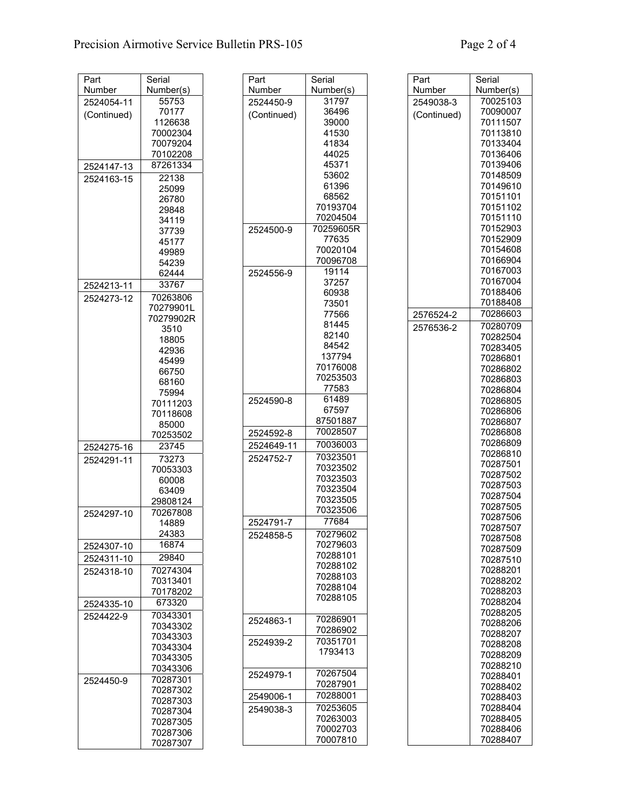| Number<br>Number(s)<br>Number<br>Number(s)<br>Number<br>Number(s)<br>70025103<br>55753<br>31797<br>2524450-9<br>2549038-3<br>2524054-11<br>70177<br>36496<br>70090007<br>(Continued)<br>(Continued)<br>(Continued)<br>1126638<br>39000<br>70111507<br>70002304<br>41530<br>70113810<br>70079204<br>41834<br>70133404<br>44025<br>70136406<br>70102208<br>45371<br>70139406<br>87261334<br>2524147-13<br>53602<br>70148509<br>22138<br>2524163-15<br>61396<br>70149610<br>25099<br>68562<br>70151101<br>26780<br>70193704<br>70151102<br>29848<br>70204504<br>70151110<br>34119<br>70152903<br>70259605R<br>2524500-9<br>37739<br>70152909<br>77635<br>45177<br>70154608<br>70020104<br>49989<br>70166904<br>70096708<br>54239<br>70167003<br>19114<br>2524556-9<br>62444<br>70167004<br>37257<br>33767<br>2524213-11<br>70188406<br>60938<br>70263806<br>2524273-12<br>70188408<br>73501<br>70279901L<br>70286603<br>77566<br>2576524-2<br>70279902R<br>81445<br>70280709<br>2576536-2<br>3510<br>82140<br>70282504<br>18805<br>84542<br>70283405<br>42936<br>137794<br>70286801<br>45499<br>70176008<br>70286802<br>66750<br>70253503<br>70286803<br>68160<br>77583<br>70286804<br>75994<br>61489<br>2524590-8<br>70286805<br>70111203<br>67597<br>70286806<br>70118608<br>87501887<br>70286807<br>85000<br>70028507<br>70286808<br>2524592-8<br>70253502<br>70286809<br>70036003<br>2524649-11<br>23745<br>2524275-16<br>70286810<br>70323501<br>2524752-7<br>73273<br>2524291-11<br>70287501<br>70323502<br>70053303<br>70287502<br>70323503<br>60008<br>70287503<br>70323504<br>63409<br>70287504<br>70323505<br>29808124<br>70287505<br>70323506<br>70267808<br>2524297-10<br>70287506<br>77684<br>2524791-7<br>14889<br>70287507<br>24383<br>70279602<br>2524858-5<br>70287508<br>16874<br>70279603<br>2524307-10<br>70287509<br>70288101<br>29840<br>2524311-10<br>70287510<br>70288102<br>70274304<br>70288201<br>2524318-10<br>70288103<br>70313401<br>70288202<br>70288104<br>70178202<br>70288203<br>70288105<br>70288204<br>673320<br>2524335-10<br>70288205<br>70343301<br>2524422-9<br>70286901<br>2524863-1<br>70288206<br>70343302<br>70286902<br>70288207<br>70343303<br>70351701<br>2524939-2<br>70288208<br>70343304<br>1793413<br>70288209<br>70343305<br>70288210<br>70343306<br>70267504<br>2524979-1<br>70288401<br>70287301<br>2524450-9<br>70287901<br>70288402<br>70287302<br>70288001<br>2549006-1<br>70288403<br>70287303<br>70253605<br>70288404<br>2549038-3<br>70287304<br>70263003<br>70288405<br>70287305<br>70002703<br>70288406<br>70287306<br>70007810<br>70288407 | Part | Serial   | Part | Serial | Part | Serial |
|--------------------------------------------------------------------------------------------------------------------------------------------------------------------------------------------------------------------------------------------------------------------------------------------------------------------------------------------------------------------------------------------------------------------------------------------------------------------------------------------------------------------------------------------------------------------------------------------------------------------------------------------------------------------------------------------------------------------------------------------------------------------------------------------------------------------------------------------------------------------------------------------------------------------------------------------------------------------------------------------------------------------------------------------------------------------------------------------------------------------------------------------------------------------------------------------------------------------------------------------------------------------------------------------------------------------------------------------------------------------------------------------------------------------------------------------------------------------------------------------------------------------------------------------------------------------------------------------------------------------------------------------------------------------------------------------------------------------------------------------------------------------------------------------------------------------------------------------------------------------------------------------------------------------------------------------------------------------------------------------------------------------------------------------------------------------------------------------------------------------------------------------------------------------------------------------------------------------------------------------------------------------------------------------------------------------------------------------------------------------------------------------------------------------------------------------------------------------------------------------------------------------------------------------------------------------------------------------------------|------|----------|------|--------|------|--------|
|                                                                                                                                                                                                                                                                                                                                                                                                                                                                                                                                                                                                                                                                                                                                                                                                                                                                                                                                                                                                                                                                                                                                                                                                                                                                                                                                                                                                                                                                                                                                                                                                                                                                                                                                                                                                                                                                                                                                                                                                                                                                                                                                                                                                                                                                                                                                                                                                                                                                                                                                                                                                        |      |          |      |        |      |        |
|                                                                                                                                                                                                                                                                                                                                                                                                                                                                                                                                                                                                                                                                                                                                                                                                                                                                                                                                                                                                                                                                                                                                                                                                                                                                                                                                                                                                                                                                                                                                                                                                                                                                                                                                                                                                                                                                                                                                                                                                                                                                                                                                                                                                                                                                                                                                                                                                                                                                                                                                                                                                        |      |          |      |        |      |        |
|                                                                                                                                                                                                                                                                                                                                                                                                                                                                                                                                                                                                                                                                                                                                                                                                                                                                                                                                                                                                                                                                                                                                                                                                                                                                                                                                                                                                                                                                                                                                                                                                                                                                                                                                                                                                                                                                                                                                                                                                                                                                                                                                                                                                                                                                                                                                                                                                                                                                                                                                                                                                        |      |          |      |        |      |        |
|                                                                                                                                                                                                                                                                                                                                                                                                                                                                                                                                                                                                                                                                                                                                                                                                                                                                                                                                                                                                                                                                                                                                                                                                                                                                                                                                                                                                                                                                                                                                                                                                                                                                                                                                                                                                                                                                                                                                                                                                                                                                                                                                                                                                                                                                                                                                                                                                                                                                                                                                                                                                        |      |          |      |        |      |        |
|                                                                                                                                                                                                                                                                                                                                                                                                                                                                                                                                                                                                                                                                                                                                                                                                                                                                                                                                                                                                                                                                                                                                                                                                                                                                                                                                                                                                                                                                                                                                                                                                                                                                                                                                                                                                                                                                                                                                                                                                                                                                                                                                                                                                                                                                                                                                                                                                                                                                                                                                                                                                        |      |          |      |        |      |        |
|                                                                                                                                                                                                                                                                                                                                                                                                                                                                                                                                                                                                                                                                                                                                                                                                                                                                                                                                                                                                                                                                                                                                                                                                                                                                                                                                                                                                                                                                                                                                                                                                                                                                                                                                                                                                                                                                                                                                                                                                                                                                                                                                                                                                                                                                                                                                                                                                                                                                                                                                                                                                        |      |          |      |        |      |        |
|                                                                                                                                                                                                                                                                                                                                                                                                                                                                                                                                                                                                                                                                                                                                                                                                                                                                                                                                                                                                                                                                                                                                                                                                                                                                                                                                                                                                                                                                                                                                                                                                                                                                                                                                                                                                                                                                                                                                                                                                                                                                                                                                                                                                                                                                                                                                                                                                                                                                                                                                                                                                        |      |          |      |        |      |        |
|                                                                                                                                                                                                                                                                                                                                                                                                                                                                                                                                                                                                                                                                                                                                                                                                                                                                                                                                                                                                                                                                                                                                                                                                                                                                                                                                                                                                                                                                                                                                                                                                                                                                                                                                                                                                                                                                                                                                                                                                                                                                                                                                                                                                                                                                                                                                                                                                                                                                                                                                                                                                        |      |          |      |        |      |        |
|                                                                                                                                                                                                                                                                                                                                                                                                                                                                                                                                                                                                                                                                                                                                                                                                                                                                                                                                                                                                                                                                                                                                                                                                                                                                                                                                                                                                                                                                                                                                                                                                                                                                                                                                                                                                                                                                                                                                                                                                                                                                                                                                                                                                                                                                                                                                                                                                                                                                                                                                                                                                        |      |          |      |        |      |        |
|                                                                                                                                                                                                                                                                                                                                                                                                                                                                                                                                                                                                                                                                                                                                                                                                                                                                                                                                                                                                                                                                                                                                                                                                                                                                                                                                                                                                                                                                                                                                                                                                                                                                                                                                                                                                                                                                                                                                                                                                                                                                                                                                                                                                                                                                                                                                                                                                                                                                                                                                                                                                        |      |          |      |        |      |        |
|                                                                                                                                                                                                                                                                                                                                                                                                                                                                                                                                                                                                                                                                                                                                                                                                                                                                                                                                                                                                                                                                                                                                                                                                                                                                                                                                                                                                                                                                                                                                                                                                                                                                                                                                                                                                                                                                                                                                                                                                                                                                                                                                                                                                                                                                                                                                                                                                                                                                                                                                                                                                        |      |          |      |        |      |        |
|                                                                                                                                                                                                                                                                                                                                                                                                                                                                                                                                                                                                                                                                                                                                                                                                                                                                                                                                                                                                                                                                                                                                                                                                                                                                                                                                                                                                                                                                                                                                                                                                                                                                                                                                                                                                                                                                                                                                                                                                                                                                                                                                                                                                                                                                                                                                                                                                                                                                                                                                                                                                        |      |          |      |        |      |        |
|                                                                                                                                                                                                                                                                                                                                                                                                                                                                                                                                                                                                                                                                                                                                                                                                                                                                                                                                                                                                                                                                                                                                                                                                                                                                                                                                                                                                                                                                                                                                                                                                                                                                                                                                                                                                                                                                                                                                                                                                                                                                                                                                                                                                                                                                                                                                                                                                                                                                                                                                                                                                        |      |          |      |        |      |        |
|                                                                                                                                                                                                                                                                                                                                                                                                                                                                                                                                                                                                                                                                                                                                                                                                                                                                                                                                                                                                                                                                                                                                                                                                                                                                                                                                                                                                                                                                                                                                                                                                                                                                                                                                                                                                                                                                                                                                                                                                                                                                                                                                                                                                                                                                                                                                                                                                                                                                                                                                                                                                        |      |          |      |        |      |        |
|                                                                                                                                                                                                                                                                                                                                                                                                                                                                                                                                                                                                                                                                                                                                                                                                                                                                                                                                                                                                                                                                                                                                                                                                                                                                                                                                                                                                                                                                                                                                                                                                                                                                                                                                                                                                                                                                                                                                                                                                                                                                                                                                                                                                                                                                                                                                                                                                                                                                                                                                                                                                        |      |          |      |        |      |        |
|                                                                                                                                                                                                                                                                                                                                                                                                                                                                                                                                                                                                                                                                                                                                                                                                                                                                                                                                                                                                                                                                                                                                                                                                                                                                                                                                                                                                                                                                                                                                                                                                                                                                                                                                                                                                                                                                                                                                                                                                                                                                                                                                                                                                                                                                                                                                                                                                                                                                                                                                                                                                        |      |          |      |        |      |        |
|                                                                                                                                                                                                                                                                                                                                                                                                                                                                                                                                                                                                                                                                                                                                                                                                                                                                                                                                                                                                                                                                                                                                                                                                                                                                                                                                                                                                                                                                                                                                                                                                                                                                                                                                                                                                                                                                                                                                                                                                                                                                                                                                                                                                                                                                                                                                                                                                                                                                                                                                                                                                        |      |          |      |        |      |        |
|                                                                                                                                                                                                                                                                                                                                                                                                                                                                                                                                                                                                                                                                                                                                                                                                                                                                                                                                                                                                                                                                                                                                                                                                                                                                                                                                                                                                                                                                                                                                                                                                                                                                                                                                                                                                                                                                                                                                                                                                                                                                                                                                                                                                                                                                                                                                                                                                                                                                                                                                                                                                        |      |          |      |        |      |        |
|                                                                                                                                                                                                                                                                                                                                                                                                                                                                                                                                                                                                                                                                                                                                                                                                                                                                                                                                                                                                                                                                                                                                                                                                                                                                                                                                                                                                                                                                                                                                                                                                                                                                                                                                                                                                                                                                                                                                                                                                                                                                                                                                                                                                                                                                                                                                                                                                                                                                                                                                                                                                        |      |          |      |        |      |        |
|                                                                                                                                                                                                                                                                                                                                                                                                                                                                                                                                                                                                                                                                                                                                                                                                                                                                                                                                                                                                                                                                                                                                                                                                                                                                                                                                                                                                                                                                                                                                                                                                                                                                                                                                                                                                                                                                                                                                                                                                                                                                                                                                                                                                                                                                                                                                                                                                                                                                                                                                                                                                        |      |          |      |        |      |        |
|                                                                                                                                                                                                                                                                                                                                                                                                                                                                                                                                                                                                                                                                                                                                                                                                                                                                                                                                                                                                                                                                                                                                                                                                                                                                                                                                                                                                                                                                                                                                                                                                                                                                                                                                                                                                                                                                                                                                                                                                                                                                                                                                                                                                                                                                                                                                                                                                                                                                                                                                                                                                        |      |          |      |        |      |        |
|                                                                                                                                                                                                                                                                                                                                                                                                                                                                                                                                                                                                                                                                                                                                                                                                                                                                                                                                                                                                                                                                                                                                                                                                                                                                                                                                                                                                                                                                                                                                                                                                                                                                                                                                                                                                                                                                                                                                                                                                                                                                                                                                                                                                                                                                                                                                                                                                                                                                                                                                                                                                        |      |          |      |        |      |        |
|                                                                                                                                                                                                                                                                                                                                                                                                                                                                                                                                                                                                                                                                                                                                                                                                                                                                                                                                                                                                                                                                                                                                                                                                                                                                                                                                                                                                                                                                                                                                                                                                                                                                                                                                                                                                                                                                                                                                                                                                                                                                                                                                                                                                                                                                                                                                                                                                                                                                                                                                                                                                        |      |          |      |        |      |        |
|                                                                                                                                                                                                                                                                                                                                                                                                                                                                                                                                                                                                                                                                                                                                                                                                                                                                                                                                                                                                                                                                                                                                                                                                                                                                                                                                                                                                                                                                                                                                                                                                                                                                                                                                                                                                                                                                                                                                                                                                                                                                                                                                                                                                                                                                                                                                                                                                                                                                                                                                                                                                        |      |          |      |        |      |        |
|                                                                                                                                                                                                                                                                                                                                                                                                                                                                                                                                                                                                                                                                                                                                                                                                                                                                                                                                                                                                                                                                                                                                                                                                                                                                                                                                                                                                                                                                                                                                                                                                                                                                                                                                                                                                                                                                                                                                                                                                                                                                                                                                                                                                                                                                                                                                                                                                                                                                                                                                                                                                        |      |          |      |        |      |        |
|                                                                                                                                                                                                                                                                                                                                                                                                                                                                                                                                                                                                                                                                                                                                                                                                                                                                                                                                                                                                                                                                                                                                                                                                                                                                                                                                                                                                                                                                                                                                                                                                                                                                                                                                                                                                                                                                                                                                                                                                                                                                                                                                                                                                                                                                                                                                                                                                                                                                                                                                                                                                        |      |          |      |        |      |        |
|                                                                                                                                                                                                                                                                                                                                                                                                                                                                                                                                                                                                                                                                                                                                                                                                                                                                                                                                                                                                                                                                                                                                                                                                                                                                                                                                                                                                                                                                                                                                                                                                                                                                                                                                                                                                                                                                                                                                                                                                                                                                                                                                                                                                                                                                                                                                                                                                                                                                                                                                                                                                        |      |          |      |        |      |        |
|                                                                                                                                                                                                                                                                                                                                                                                                                                                                                                                                                                                                                                                                                                                                                                                                                                                                                                                                                                                                                                                                                                                                                                                                                                                                                                                                                                                                                                                                                                                                                                                                                                                                                                                                                                                                                                                                                                                                                                                                                                                                                                                                                                                                                                                                                                                                                                                                                                                                                                                                                                                                        |      |          |      |        |      |        |
|                                                                                                                                                                                                                                                                                                                                                                                                                                                                                                                                                                                                                                                                                                                                                                                                                                                                                                                                                                                                                                                                                                                                                                                                                                                                                                                                                                                                                                                                                                                                                                                                                                                                                                                                                                                                                                                                                                                                                                                                                                                                                                                                                                                                                                                                                                                                                                                                                                                                                                                                                                                                        |      |          |      |        |      |        |
|                                                                                                                                                                                                                                                                                                                                                                                                                                                                                                                                                                                                                                                                                                                                                                                                                                                                                                                                                                                                                                                                                                                                                                                                                                                                                                                                                                                                                                                                                                                                                                                                                                                                                                                                                                                                                                                                                                                                                                                                                                                                                                                                                                                                                                                                                                                                                                                                                                                                                                                                                                                                        |      |          |      |        |      |        |
|                                                                                                                                                                                                                                                                                                                                                                                                                                                                                                                                                                                                                                                                                                                                                                                                                                                                                                                                                                                                                                                                                                                                                                                                                                                                                                                                                                                                                                                                                                                                                                                                                                                                                                                                                                                                                                                                                                                                                                                                                                                                                                                                                                                                                                                                                                                                                                                                                                                                                                                                                                                                        |      |          |      |        |      |        |
|                                                                                                                                                                                                                                                                                                                                                                                                                                                                                                                                                                                                                                                                                                                                                                                                                                                                                                                                                                                                                                                                                                                                                                                                                                                                                                                                                                                                                                                                                                                                                                                                                                                                                                                                                                                                                                                                                                                                                                                                                                                                                                                                                                                                                                                                                                                                                                                                                                                                                                                                                                                                        |      |          |      |        |      |        |
|                                                                                                                                                                                                                                                                                                                                                                                                                                                                                                                                                                                                                                                                                                                                                                                                                                                                                                                                                                                                                                                                                                                                                                                                                                                                                                                                                                                                                                                                                                                                                                                                                                                                                                                                                                                                                                                                                                                                                                                                                                                                                                                                                                                                                                                                                                                                                                                                                                                                                                                                                                                                        |      |          |      |        |      |        |
|                                                                                                                                                                                                                                                                                                                                                                                                                                                                                                                                                                                                                                                                                                                                                                                                                                                                                                                                                                                                                                                                                                                                                                                                                                                                                                                                                                                                                                                                                                                                                                                                                                                                                                                                                                                                                                                                                                                                                                                                                                                                                                                                                                                                                                                                                                                                                                                                                                                                                                                                                                                                        |      |          |      |        |      |        |
|                                                                                                                                                                                                                                                                                                                                                                                                                                                                                                                                                                                                                                                                                                                                                                                                                                                                                                                                                                                                                                                                                                                                                                                                                                                                                                                                                                                                                                                                                                                                                                                                                                                                                                                                                                                                                                                                                                                                                                                                                                                                                                                                                                                                                                                                                                                                                                                                                                                                                                                                                                                                        |      |          |      |        |      |        |
|                                                                                                                                                                                                                                                                                                                                                                                                                                                                                                                                                                                                                                                                                                                                                                                                                                                                                                                                                                                                                                                                                                                                                                                                                                                                                                                                                                                                                                                                                                                                                                                                                                                                                                                                                                                                                                                                                                                                                                                                                                                                                                                                                                                                                                                                                                                                                                                                                                                                                                                                                                                                        |      |          |      |        |      |        |
|                                                                                                                                                                                                                                                                                                                                                                                                                                                                                                                                                                                                                                                                                                                                                                                                                                                                                                                                                                                                                                                                                                                                                                                                                                                                                                                                                                                                                                                                                                                                                                                                                                                                                                                                                                                                                                                                                                                                                                                                                                                                                                                                                                                                                                                                                                                                                                                                                                                                                                                                                                                                        |      |          |      |        |      |        |
|                                                                                                                                                                                                                                                                                                                                                                                                                                                                                                                                                                                                                                                                                                                                                                                                                                                                                                                                                                                                                                                                                                                                                                                                                                                                                                                                                                                                                                                                                                                                                                                                                                                                                                                                                                                                                                                                                                                                                                                                                                                                                                                                                                                                                                                                                                                                                                                                                                                                                                                                                                                                        |      |          |      |        |      |        |
|                                                                                                                                                                                                                                                                                                                                                                                                                                                                                                                                                                                                                                                                                                                                                                                                                                                                                                                                                                                                                                                                                                                                                                                                                                                                                                                                                                                                                                                                                                                                                                                                                                                                                                                                                                                                                                                                                                                                                                                                                                                                                                                                                                                                                                                                                                                                                                                                                                                                                                                                                                                                        |      |          |      |        |      |        |
|                                                                                                                                                                                                                                                                                                                                                                                                                                                                                                                                                                                                                                                                                                                                                                                                                                                                                                                                                                                                                                                                                                                                                                                                                                                                                                                                                                                                                                                                                                                                                                                                                                                                                                                                                                                                                                                                                                                                                                                                                                                                                                                                                                                                                                                                                                                                                                                                                                                                                                                                                                                                        |      |          |      |        |      |        |
|                                                                                                                                                                                                                                                                                                                                                                                                                                                                                                                                                                                                                                                                                                                                                                                                                                                                                                                                                                                                                                                                                                                                                                                                                                                                                                                                                                                                                                                                                                                                                                                                                                                                                                                                                                                                                                                                                                                                                                                                                                                                                                                                                                                                                                                                                                                                                                                                                                                                                                                                                                                                        |      |          |      |        |      |        |
|                                                                                                                                                                                                                                                                                                                                                                                                                                                                                                                                                                                                                                                                                                                                                                                                                                                                                                                                                                                                                                                                                                                                                                                                                                                                                                                                                                                                                                                                                                                                                                                                                                                                                                                                                                                                                                                                                                                                                                                                                                                                                                                                                                                                                                                                                                                                                                                                                                                                                                                                                                                                        |      |          |      |        |      |        |
|                                                                                                                                                                                                                                                                                                                                                                                                                                                                                                                                                                                                                                                                                                                                                                                                                                                                                                                                                                                                                                                                                                                                                                                                                                                                                                                                                                                                                                                                                                                                                                                                                                                                                                                                                                                                                                                                                                                                                                                                                                                                                                                                                                                                                                                                                                                                                                                                                                                                                                                                                                                                        |      |          |      |        |      |        |
|                                                                                                                                                                                                                                                                                                                                                                                                                                                                                                                                                                                                                                                                                                                                                                                                                                                                                                                                                                                                                                                                                                                                                                                                                                                                                                                                                                                                                                                                                                                                                                                                                                                                                                                                                                                                                                                                                                                                                                                                                                                                                                                                                                                                                                                                                                                                                                                                                                                                                                                                                                                                        |      |          |      |        |      |        |
|                                                                                                                                                                                                                                                                                                                                                                                                                                                                                                                                                                                                                                                                                                                                                                                                                                                                                                                                                                                                                                                                                                                                                                                                                                                                                                                                                                                                                                                                                                                                                                                                                                                                                                                                                                                                                                                                                                                                                                                                                                                                                                                                                                                                                                                                                                                                                                                                                                                                                                                                                                                                        |      |          |      |        |      |        |
|                                                                                                                                                                                                                                                                                                                                                                                                                                                                                                                                                                                                                                                                                                                                                                                                                                                                                                                                                                                                                                                                                                                                                                                                                                                                                                                                                                                                                                                                                                                                                                                                                                                                                                                                                                                                                                                                                                                                                                                                                                                                                                                                                                                                                                                                                                                                                                                                                                                                                                                                                                                                        |      |          |      |        |      |        |
|                                                                                                                                                                                                                                                                                                                                                                                                                                                                                                                                                                                                                                                                                                                                                                                                                                                                                                                                                                                                                                                                                                                                                                                                                                                                                                                                                                                                                                                                                                                                                                                                                                                                                                                                                                                                                                                                                                                                                                                                                                                                                                                                                                                                                                                                                                                                                                                                                                                                                                                                                                                                        |      |          |      |        |      |        |
|                                                                                                                                                                                                                                                                                                                                                                                                                                                                                                                                                                                                                                                                                                                                                                                                                                                                                                                                                                                                                                                                                                                                                                                                                                                                                                                                                                                                                                                                                                                                                                                                                                                                                                                                                                                                                                                                                                                                                                                                                                                                                                                                                                                                                                                                                                                                                                                                                                                                                                                                                                                                        |      |          |      |        |      |        |
|                                                                                                                                                                                                                                                                                                                                                                                                                                                                                                                                                                                                                                                                                                                                                                                                                                                                                                                                                                                                                                                                                                                                                                                                                                                                                                                                                                                                                                                                                                                                                                                                                                                                                                                                                                                                                                                                                                                                                                                                                                                                                                                                                                                                                                                                                                                                                                                                                                                                                                                                                                                                        |      |          |      |        |      |        |
|                                                                                                                                                                                                                                                                                                                                                                                                                                                                                                                                                                                                                                                                                                                                                                                                                                                                                                                                                                                                                                                                                                                                                                                                                                                                                                                                                                                                                                                                                                                                                                                                                                                                                                                                                                                                                                                                                                                                                                                                                                                                                                                                                                                                                                                                                                                                                                                                                                                                                                                                                                                                        |      |          |      |        |      |        |
|                                                                                                                                                                                                                                                                                                                                                                                                                                                                                                                                                                                                                                                                                                                                                                                                                                                                                                                                                                                                                                                                                                                                                                                                                                                                                                                                                                                                                                                                                                                                                                                                                                                                                                                                                                                                                                                                                                                                                                                                                                                                                                                                                                                                                                                                                                                                                                                                                                                                                                                                                                                                        |      |          |      |        |      |        |
|                                                                                                                                                                                                                                                                                                                                                                                                                                                                                                                                                                                                                                                                                                                                                                                                                                                                                                                                                                                                                                                                                                                                                                                                                                                                                                                                                                                                                                                                                                                                                                                                                                                                                                                                                                                                                                                                                                                                                                                                                                                                                                                                                                                                                                                                                                                                                                                                                                                                                                                                                                                                        |      |          |      |        |      |        |
|                                                                                                                                                                                                                                                                                                                                                                                                                                                                                                                                                                                                                                                                                                                                                                                                                                                                                                                                                                                                                                                                                                                                                                                                                                                                                                                                                                                                                                                                                                                                                                                                                                                                                                                                                                                                                                                                                                                                                                                                                                                                                                                                                                                                                                                                                                                                                                                                                                                                                                                                                                                                        |      |          |      |        |      |        |
|                                                                                                                                                                                                                                                                                                                                                                                                                                                                                                                                                                                                                                                                                                                                                                                                                                                                                                                                                                                                                                                                                                                                                                                                                                                                                                                                                                                                                                                                                                                                                                                                                                                                                                                                                                                                                                                                                                                                                                                                                                                                                                                                                                                                                                                                                                                                                                                                                                                                                                                                                                                                        |      |          |      |        |      |        |
|                                                                                                                                                                                                                                                                                                                                                                                                                                                                                                                                                                                                                                                                                                                                                                                                                                                                                                                                                                                                                                                                                                                                                                                                                                                                                                                                                                                                                                                                                                                                                                                                                                                                                                                                                                                                                                                                                                                                                                                                                                                                                                                                                                                                                                                                                                                                                                                                                                                                                                                                                                                                        |      |          |      |        |      |        |
|                                                                                                                                                                                                                                                                                                                                                                                                                                                                                                                                                                                                                                                                                                                                                                                                                                                                                                                                                                                                                                                                                                                                                                                                                                                                                                                                                                                                                                                                                                                                                                                                                                                                                                                                                                                                                                                                                                                                                                                                                                                                                                                                                                                                                                                                                                                                                                                                                                                                                                                                                                                                        |      |          |      |        |      |        |
|                                                                                                                                                                                                                                                                                                                                                                                                                                                                                                                                                                                                                                                                                                                                                                                                                                                                                                                                                                                                                                                                                                                                                                                                                                                                                                                                                                                                                                                                                                                                                                                                                                                                                                                                                                                                                                                                                                                                                                                                                                                                                                                                                                                                                                                                                                                                                                                                                                                                                                                                                                                                        |      |          |      |        |      |        |
|                                                                                                                                                                                                                                                                                                                                                                                                                                                                                                                                                                                                                                                                                                                                                                                                                                                                                                                                                                                                                                                                                                                                                                                                                                                                                                                                                                                                                                                                                                                                                                                                                                                                                                                                                                                                                                                                                                                                                                                                                                                                                                                                                                                                                                                                                                                                                                                                                                                                                                                                                                                                        |      |          |      |        |      |        |
|                                                                                                                                                                                                                                                                                                                                                                                                                                                                                                                                                                                                                                                                                                                                                                                                                                                                                                                                                                                                                                                                                                                                                                                                                                                                                                                                                                                                                                                                                                                                                                                                                                                                                                                                                                                                                                                                                                                                                                                                                                                                                                                                                                                                                                                                                                                                                                                                                                                                                                                                                                                                        |      |          |      |        |      |        |
|                                                                                                                                                                                                                                                                                                                                                                                                                                                                                                                                                                                                                                                                                                                                                                                                                                                                                                                                                                                                                                                                                                                                                                                                                                                                                                                                                                                                                                                                                                                                                                                                                                                                                                                                                                                                                                                                                                                                                                                                                                                                                                                                                                                                                                                                                                                                                                                                                                                                                                                                                                                                        |      |          |      |        |      |        |
|                                                                                                                                                                                                                                                                                                                                                                                                                                                                                                                                                                                                                                                                                                                                                                                                                                                                                                                                                                                                                                                                                                                                                                                                                                                                                                                                                                                                                                                                                                                                                                                                                                                                                                                                                                                                                                                                                                                                                                                                                                                                                                                                                                                                                                                                                                                                                                                                                                                                                                                                                                                                        |      | 70287307 |      |        |      |        |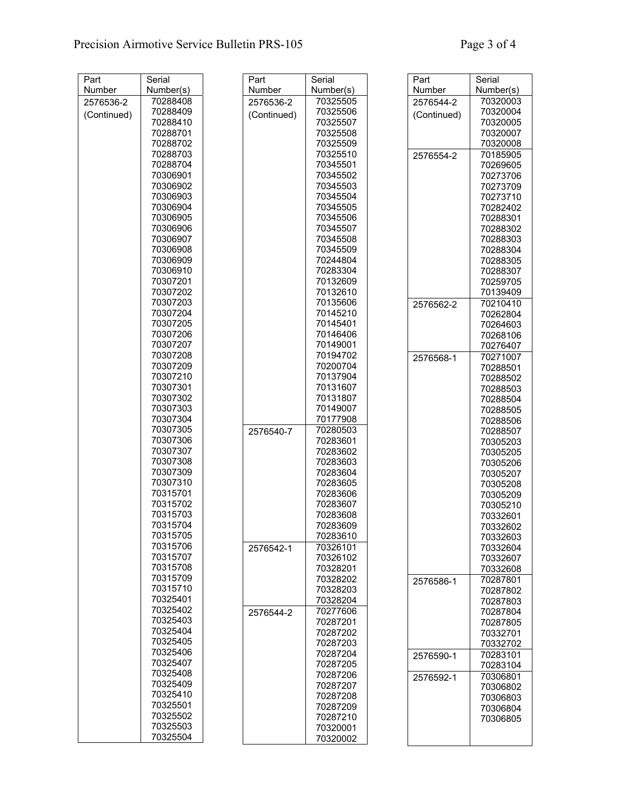| Part        | Serial    | Part        | Serial    | Part        | Serial               |
|-------------|-----------|-------------|-----------|-------------|----------------------|
| Number      | Number(s) | Number      | Number(s) | Number      | Number(s)            |
| 2576536-2   | 70288408  | 2576536-2   | 70325505  | 2576544-2   | 70320003             |
|             | 70288409  |             | 70325506  |             | 70320004             |
| (Continued) | 70288410  | (Continued) | 70325507  | (Continued) | 70320005             |
|             | 70288701  |             | 70325508  |             | 70320007             |
|             | 70288702  |             | 70325509  |             | 70320008             |
|             | 70288703  |             | 70325510  | 2576554-2   | 70185905             |
|             | 70288704  |             | 70345501  |             | 70269605             |
|             | 70306901  |             | 70345502  |             | 70273706             |
|             | 70306902  |             | 70345503  |             | 70273709             |
|             | 70306903  |             | 70345504  |             | 70273710             |
|             | 70306904  |             | 70345505  |             | 70282402             |
|             | 70306905  |             | 70345506  |             | 70288301             |
|             | 70306906  |             | 70345507  |             | 70288302             |
|             | 70306907  |             | 70345508  |             | 70288303             |
|             | 70306908  |             | 70345509  |             | 70288304             |
|             | 70306909  |             | 70244804  |             | 70288305             |
|             | 70306910  |             | 70283304  |             | 70288307             |
|             | 70307201  |             | 70132609  |             | 70259705             |
|             | 70307202  |             | 70132610  |             | 70139409             |
|             | 70307203  |             | 70135606  |             |                      |
|             | 70307204  |             | 70145210  | 2576562-2   | 70210410             |
|             | 70307205  |             | 70145401  |             | 70262804<br>70264603 |
|             | 70307206  |             | 70146406  |             |                      |
|             | 70307207  |             | 70149001  |             | 70268106             |
|             | 70307208  |             | 70194702  |             | 70276407             |
|             | 70307209  |             | 70200704  | 2576568-1   | 70271007             |
|             | 70307210  |             | 70137904  |             | 70288501             |
|             | 70307301  |             | 70131607  |             | 70288502             |
|             | 70307302  |             | 70131807  |             | 70288503             |
|             | 70307303  |             | 70149007  |             | 70288504             |
|             | 70307304  |             |           |             | 70288505             |
|             |           |             | 70177908  |             | 70288506             |
|             | 70307305  | 2576540-7   | 70280503  |             | 70288507             |
|             | 70307306  |             | 70283601  |             | 70305203             |
|             | 70307307  |             | 70283602  |             | 70305205             |
|             | 70307308  |             | 70283603  |             | 70305206             |
|             | 70307309  |             | 70283604  |             | 70305207             |
|             | 70307310  |             | 70283605  |             | 70305208             |
|             | 70315701  |             | 70283606  |             | 70305209             |
|             | 70315702  |             | 70283607  |             | 70305210             |
|             | 70315703  |             | 70283608  |             | 70332601             |
|             | 70315704  |             | 70283609  |             | 70332602             |
|             | 70315705  |             | 70283610  |             | 70332603             |
|             | 70315706  | 2576542-1   | 70326101  |             | 70332604             |
|             | 70315707  |             | 70326102  |             | 70332607             |
|             | 70315708  |             | 70328201  |             | 70332608             |
|             | 70315709  |             | 70328202  | 2576586-1   | 70287801             |
|             | 70315710  |             | 70328203  |             | 70287802             |
|             | 70325401  |             | 70328204  |             | 70287803             |
|             | 70325402  | 2576544-2   | 70277606  |             | 70287804             |
|             | 70325403  |             | 70287201  |             | 70287805             |
|             | 70325404  |             | 70287202  |             | 70332701             |
|             | 70325405  |             | 70287203  |             | 70332702             |
|             | 70325406  |             | 70287204  | 2576590-1   | 70283101             |
|             | 70325407  |             | 70287205  |             | 70283104             |
|             | 70325408  |             | 70287206  | 2576592-1   | 70306801             |
|             | 70325409  |             | 70287207  |             | 70306802             |
|             | 70325410  |             | 70287208  |             | 70306803             |
|             | 70325501  |             | 70287209  |             | 70306804             |
|             | 70325502  |             | 70287210  |             | 70306805             |
|             | 70325503  |             | 70320001  |             |                      |
|             | 70325504  |             | 70320002  |             |                      |